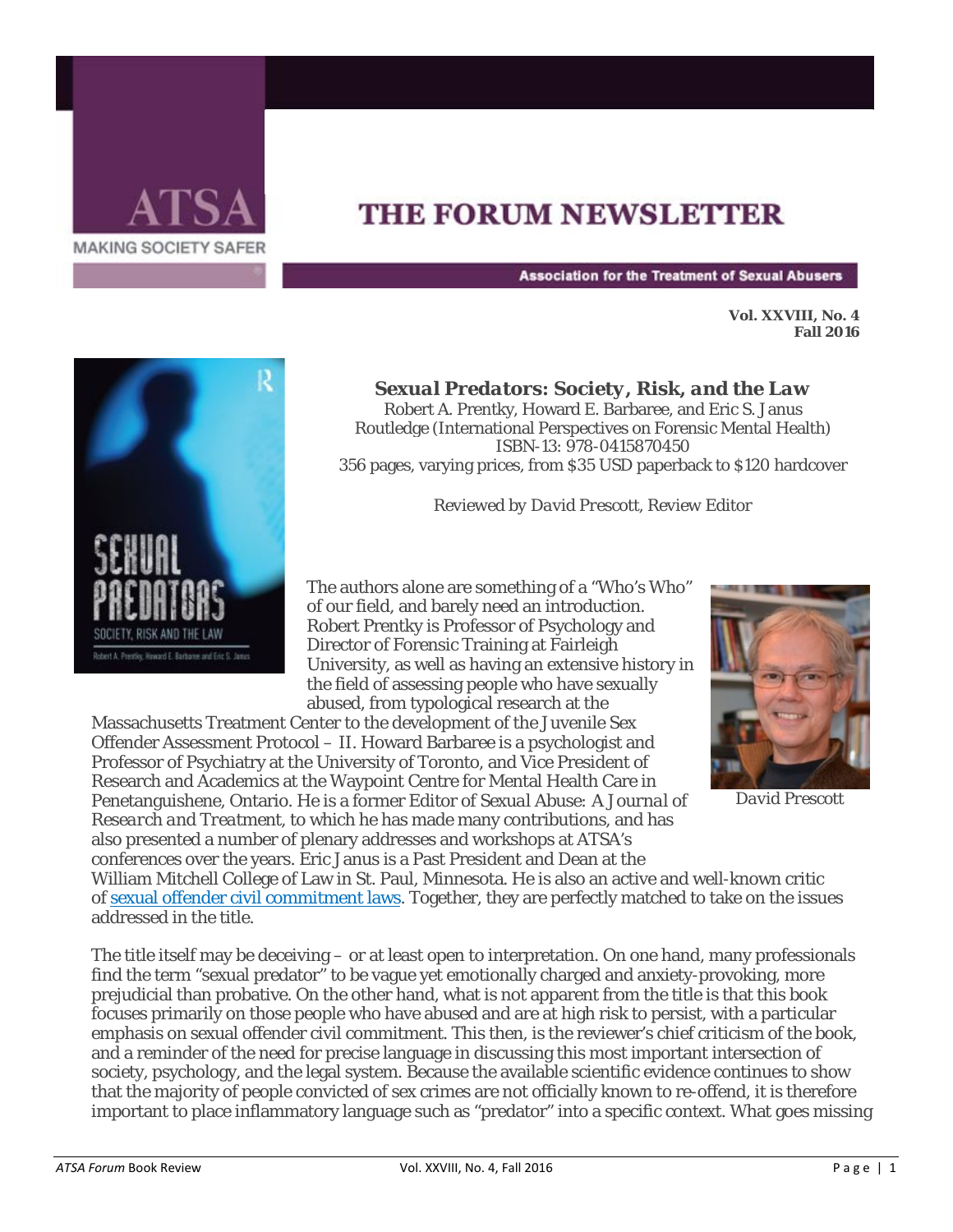

## **THE FORUM NEWSLETTER**

**Association for the Treatment of Sexual Abusers** 

**Vol. XXVIII, No. 4 Fall 2016** 



*Sexual Predators: Society, Risk, and the Law*

Robert A. Prentky, Howard E. Barbaree, and Eric S. Janus Routledge (International Perspectives on Forensic Mental Health) ISBN-13: 978-0415870450 356 pages, varying prices, from \$35 USD paperback to \$120 hardcover

*Reviewed by David Prescott, Review Editor*

The authors alone are something of a "Who's Who" of our field, and barely need an introduction. Robert Prentky is Professor of Psychology and Director of Forensic Training at Fairleigh University, as well as having an extensive history in the field of assessing people who have sexually abused, from typological research at the

Massachusetts Treatment Center to the development of the Juvenile Sex Offender Assessment Protocol – II. Howard Barbaree is a psychologist and Professor of Psychiatry at the University of Toronto, and Vice President of Research and Academics at the Waypoint Centre for Mental Health Care in Penetanguishene, Ontario. He is a former Editor of *Sexual Abuse: A Journal of Research and Treatment,* to which he has made many contributions, and has also presented a number of plenary addresses and workshops at ATSA's conferences over the years. Eric Janus is a Past President and Dean at the



*David Prescott*

William Mitchell College of Law in St. Paul, Minnesota. He is also an active and well-known critic of [sexual offender civil commitment laws.](http://www.atsa.com/CivilCommitmentEducationalBriefs) Together, they are perfectly matched to take on the issues addressed in the title.

The title itself may be deceiving – or at least open to interpretation. On one hand, many professionals find the term "sexual predator" to be vague yet emotionally charged and anxiety-provoking, more prejudicial than probative. On the other hand, what is not apparent from the title is that this book focuses primarily on those people who have abused and are at high risk to persist, with a particular emphasis on sexual offender civil commitment. This then, is the reviewer's chief criticism of the book, and a reminder of the need for precise language in discussing this most important intersection of society, psychology, and the legal system. Because the available scientific evidence continues to show that the majority of people convicted of sex crimes are not officially known to re-offend, it is therefore important to place inflammatory language such as "predator" into a specific context. What goes missing